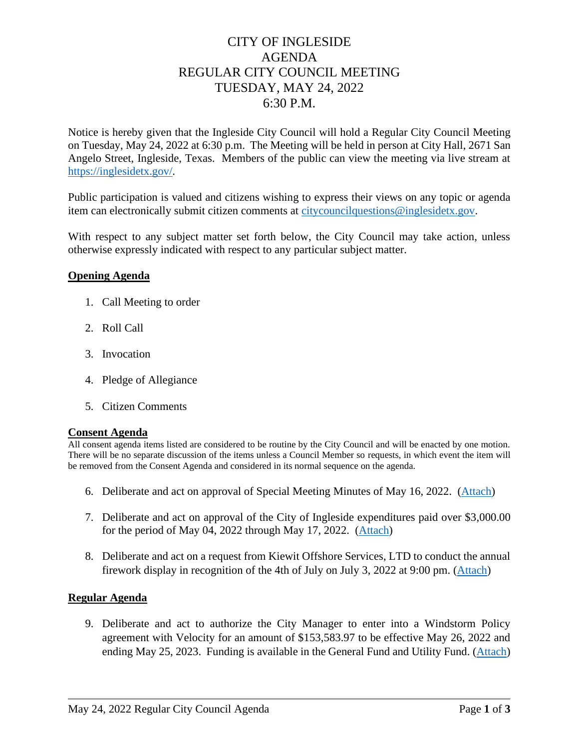# CITY OF INGLESIDE AGENDA REGULAR CITY COUNCIL MEETING TUESDAY, MAY 24, 2022 6:30 P.M.

Notice is hereby given that the Ingleside City Council will hold a Regular City Council Meeting on Tuesday, May 24, 2022 at 6:30 p.m. The Meeting will be held in person at City Hall, 2671 San Angelo Street, Ingleside, Texas. Members of the public can view the meeting via live stream at [https://inglesidetx.gov/.](https://inglesidetx.gov/)

Public participation is valued and citizens wishing to express their views on any topic or agenda item can electronically submit citizen comments at [citycouncilquestions@inglesidetx.gov.](mailto:citycouncilquestions@inglesidetx.gov)

With respect to any subject matter set forth below, the City Council may take action, unless otherwise expressly indicated with respect to any particular subject matter.

### **Opening Agenda**

- 1. Call Meeting to order
- 2. Roll Call
- 3. Invocation
- 4. Pledge of Allegiance
- 5. Citizen Comments

#### **Consent Agenda**

All consent agenda items listed are considered to be routine by the City Council and will be enacted by one motion. There will be no separate discussion of the items unless a Council Member so requests, in which event the item will be removed from the Consent Agenda and considered in its normal sequence on the agenda.

- 6. Deliberate and act on approval of Special Meeting Minutes of May 16, 2022. [\(Attach\)](/DocumentCenter/View/654/Item-6-1-PDF)
- 7. Deliberate and act on approval of the City of Ingleside expenditures paid over \$3,000.00 for the period of May 04, 2022 through May 17, 2022. [\(Attach\)](/DocumentCenter/View/656/Item-7-1-PDF)
- 8. Deliberate and act on a request from Kiewit Offshore Services, LTD to conduct the annual firework display in recognition of the 4th of July on July 3, 2022 at 9:00 pm. [\(Attach\)](/DocumentCenter/View/658/Item-8-1-PDF)

### **Regular Agenda**

9. Deliberate and act to authorize the City Manager to enter into a Windstorm Policy agreement with Velocity for an amount of \$153,583.97 to be effective May 26, 2022 and ending May 25, 2023. Funding is available in the General Fund and Utility Fund. [\(Attach\)](/DocumentCenter/View/660/Item-9-1-PDF)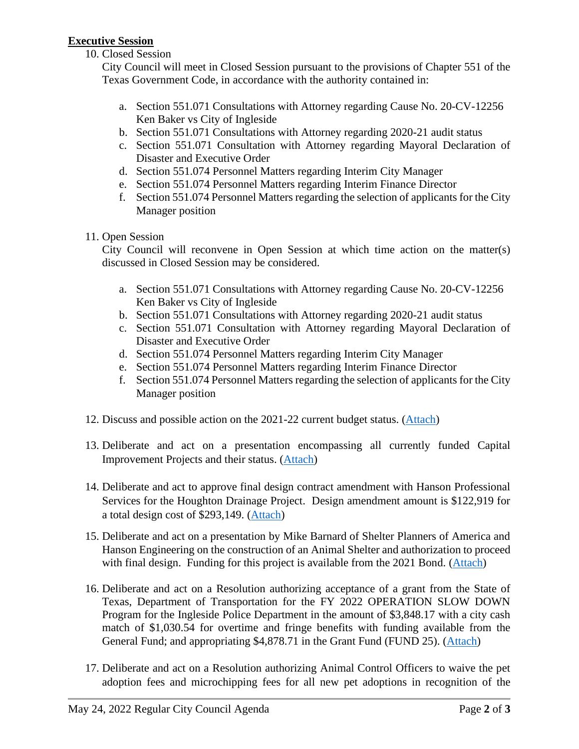# **Executive Session**

## 10. Closed Session

City Council will meet in Closed Session pursuant to the provisions of Chapter 551 of the Texas Government Code, in accordance with the authority contained in:

- a. Section 551.071 Consultations with Attorney regarding Cause No. 20-CV-12256 Ken Baker vs City of Ingleside
- b. Section 551.071 Consultations with Attorney regarding 2020-21 audit status
- c. Section 551.071 Consultation with Attorney regarding Mayoral Declaration of Disaster and Executive Order
- d. Section 551.074 Personnel Matters regarding Interim City Manager
- e. Section 551.074 Personnel Matters regarding Interim Finance Director
- f. Section 551.074 Personnel Matters regarding the selection of applicants for the City Manager position
- 11. Open Session

City Council will reconvene in Open Session at which time action on the matter(s) discussed in Closed Session may be considered.

- a. Section 551.071 Consultations with Attorney regarding Cause No. 20-CV-12256 Ken Baker vs City of Ingleside
- b. Section 551.071 Consultations with Attorney regarding 2020-21 audit status
- c. Section 551.071 Consultation with Attorney regarding Mayoral Declaration of Disaster and Executive Order
- d. Section 551.074 Personnel Matters regarding Interim City Manager
- e. Section 551.074 Personnel Matters regarding Interim Finance Director
- f. Section 551.074 Personnel Matters regarding the selection of applicants for the City Manager position
- 12. Discuss and possible action on the 2021-22 current budget status. [\(Attach\)](/DocumentCenter/View/663/Item-12-PDF)
- 13. Deliberate and act on a presentation encompassing all currently funded Capital Improvement Projects and their status. [\(Attach\)](/DocumentCenter/View/665/Item-13-1-PDF)
- 14. Deliberate and act to approve final design contract amendment with Hanson Professional Services for the Houghton Drainage Project. Design amendment amount is \$122,919 for a total design cost of \$293,149. [\(Attach\)](/DocumentCenter/View/667/Item-14-1-PDF)
- 15. Deliberate and act on a presentation by Mike Barnard of Shelter Planners of America and Hanson Engineering on the construction of an Animal Shelter and authorization to proceed with final design. Funding for this project is available from the 2021 Bond. [\(Attach\)](/DocumentCenter/View/669/Item-15-1-PDF)
- 16. Deliberate and act on a Resolution authorizing acceptance of a grant from the State of Texas, Department of Transportation for the FY 2022 OPERATION SLOW DOWN Program for the Ingleside Police Department in the amount of \$3,848.17 with a city cash match of \$1,030.54 for overtime and fringe benefits with funding available from the General Fund; and appropriating \$4,878.71 in the Grant Fund (FUND 25). [\(Attach\)](/DocumentCenter/View/672/Item-16-Amended-PDF)
- 17. Deliberate and act on a Resolution authorizing Animal Control Officers to waive the pet adoption fees and microchipping fees for all new pet adoptions in recognition of the